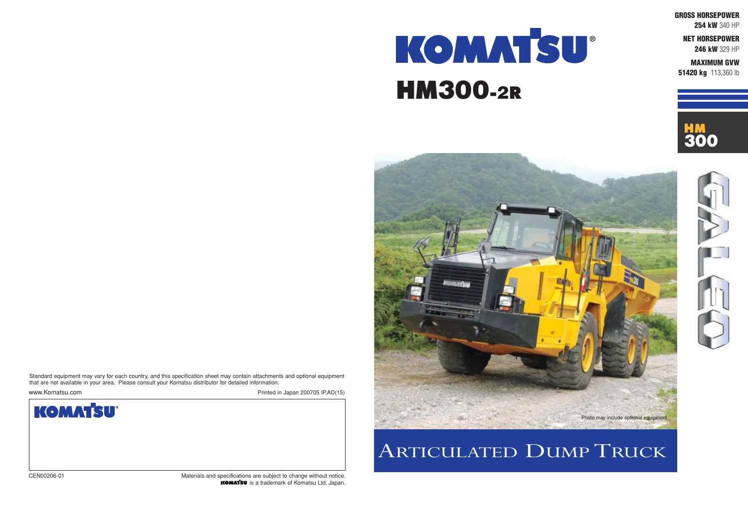**GROSS HORSEPOWER**

**254 kW** 340 HP

**NET HORSEPOWER**

**246 kW** 329 HP

**MAXIMUM GVW 51420 kg** 113,360 lb





# KOMMTSU® HM300-2R

## ARTICULATED DUMP TRUCK



CEN00206-01 Materials and specifications are subject to change without notice. is a trademark of Komatsu Ltd. Japan.

Standard equipment may vary for each country, and this specification sheet may contain attachments and optional equipment that are not available in your area. Please consult your Komatsu distributor for detailed information.

www.Komatsu.com **Printed in Japan 200705 IP.AD(15)** 

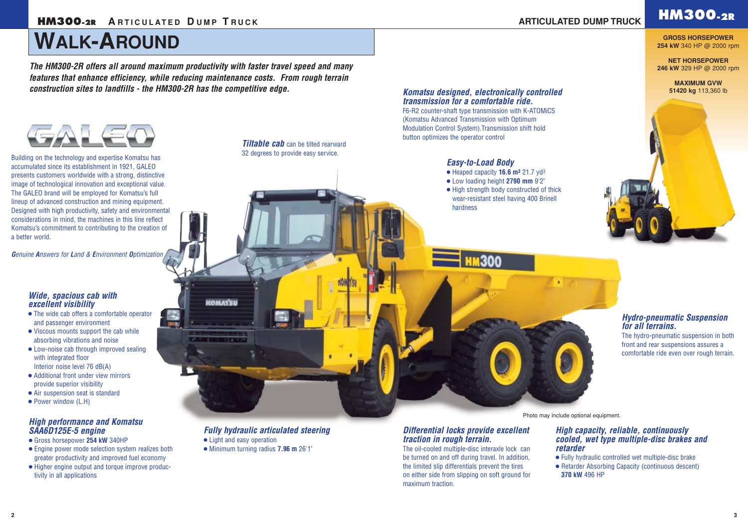## **WALK-AROUND**

## **HM300-2R HM300-2R <sup>A</sup> <sup>R</sup> TICULATED <sup>D</sup> UMP <sup>T</sup> <sup>R</sup> UCK ARTICULATED DUMP TRUCK**

*Hydro-pneumatic Suspension for all terrains.* 

The hydro-pneumatic suspension in both front and rear suspensions assures a comfortable ride even over rough terrain.

### *Differential locks provide excellent traction in rough terrain.*

**Tiltable cab** can be tilted rearward 32 degrees to provide easy service.

> The oil-cooled multiple-disc interaxle lock can be turned on and off during travel. In addition, the limited slip differentials prevent the tires on either side from slipping on soft ground for maximum traction.

- The wide cab offers a comfortable operator and passenger environment
- Viscous mounts support the cab while absorbing vibrations and noise
- Low-noise cab through improved sealing with integrated floor Interior noise level 76 dB(A)
- Additional front under view mirrors provide superior visibility
- Air suspension seat is standard
- Power window (L.H)

### *Komatsu designed, electronically controlled transmission for a comfortable ride.*

F6-R2 counter-shaft type transmission with K-ATOMiCS (Komatsu Advanced Transmission with Optimum Modulation Control System).Transmission shift hold button optimizes the operator control

### *Wide, spacious cab with excellent visibility*

### *High capacity, reliable, continuously cooled, wet type multiple-disc brakes and retarder*

● Fully hydraulic controlled wet multiple-disc brake ● Retarder Absorbing Capacity (continuous descent) **370 kW** 496 HP

### *Easy-to-Load Body*

- Heaped capacity **16.6 m3** 21.7 yd3
- Low loading height **2790 mm** 9'2"

300

● High strength body constructed of thick wear-resistant steel having 400 Brinell hardness

### *High performance and Komatsu SAA6D125E-5 engine*

- Gross horsepower **254 kW** 340HP
- Engine power mode selection system realizes both greater productivity and improved fuel economy
- Higher engine output and torque improve productivity in all applications

## *Fully hydraulic articulated steering*

● Light and easy operation

**KOMATSU** 

**Million** 

● Minimum turning radius **7.96 m** 26'1"

*The HM300-2R offers all around maximum productivity with faster travel speed and many features that enhance efficiency, while reducing maintenance costs. From rough terrain construction sites to landfills - the HM300-2R has the competitive edge.*



**GROSS HORSEPOWER 254 kW** 340 HP @ 2000 rpm

**NET HORSEPOWER 246 kW** 329 HP @ 2000 rpm

> **MAXIMUM GVW 51420 kg** 113,360 lb



Building on the technology and expertise Komatsu has accumulated since its establishment in 1921, GALEO presents customers worldwide with a strong, distinctive image of technological innovation and exceptional value. The GALEO brand will be employed for Komatsu's full lineup of advanced construction and mining equipment. Designed with high productivity, safety and environmental considerations in mind, the machines in this line reflect Komatsu's commitment to contributing to the creation of a better world.

*Genuine Answers for Land & Environment Optimization*

Photo may include optional equipment.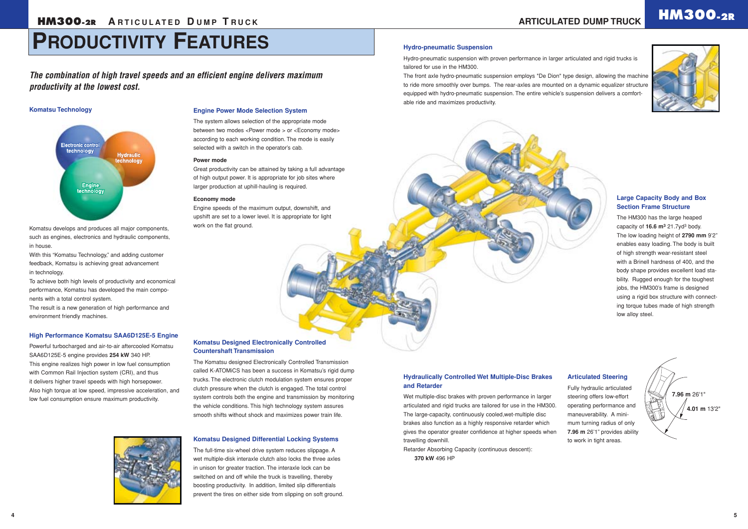#### **Komatsu Designed Differential Locking Systems**

The full-time six-wheel drive system reduces slippage. A wet multiple-disk interaxle clutch also locks the three axles in unison for greater traction. The interaxle lock can be switched on and off while the truck is travelling, thereby boosting productivity. In addition, limited slip differentials prevent the tires on either side from slipping on soft ground.

#### **Hydraulically Controlled Wet Multiple-Disc Brakes and Retarder**

Wet multiple-disc brakes with proven performance in larger articulated and rigid trucks are tailored for use in the HM300. The large-capacity, continuously cooled,wet-multiple disc brakes also function as a highly responsive retarder which gives the operator greater confidence at higher speeds when travelling downhill.

Retarder Absorbing Capacity (continuous descent): **370 kW** 496 HP

#### **Large Capacity Body and Box Section Frame Structure**

The HM300 has the large heaped capacity of **16.6 m3** 21.7yd3 body. The low loading height of **2790 mm** 9'2" enables easy loading. The body is built of high strength wear-resistant steel with a Brinell hardness of 400, and the body shape provides excellent load stability. Rugged enough for the toughest jobs, the HM300's frame is designed using a rigid box structure with connecting torque tubes made of high strength low alloy steel.

#### **Articulated Steering**

Fully hydraulic articulated steering offers low-effort operating performance and maneuverability. A minimum turning radius of only **7.96 m** 26'1" provides ability to work in tight areas.

#### **Komatsu Designed Electronically Controlled Countershaft Transmission**

The Komatsu designed Electronically Controlled Transmission called K-ATOMiCS has been a success in Komatsu's rigid dump trucks. The electronic clutch modulation system ensures proper clutch pressure when the clutch is engaged. The total control system controls both the engine and transmission by monitoring the vehicle conditions. This high technology system assures smooth shifts without shock and maximizes power train life.

### **HM300.2R ARTICULATED DE ARTICULATE**





*The combination of high travel speeds and an efficient engine delivers maximum productivity at the lowest cost.*

#### **Komatsu Technology**



Komatsu develops and produces all major components, such as engines, electronics and hydraulic components, in house.

With this "Komatsu Technology," and adding customer feedback, Komatsu is achieving great advancement in technology.

To achieve both high levels of productivity and economical performance, Komatsu has developed the main components with a total control system.

The result is a new generation of high performance and environment friendly machines.

#### **High Performance Komatsu SAA6D125E-5 Engine**

Powerful turbocharged and air-to-air aftercooled Komatsu SAA6D125E-5 engine provides **254 kW** 340 HP. This engine realizes high power in low fuel consumption with Common Rail Injection system (CRI), and thus it delivers higher travel speeds with high horsepower. Also high torque at low speed, impressive acceleration, and low fuel consumption ensure maximum productivity.



#### **Engine Power Mode Selection System**

The system allows selection of the appropriate mode between two modes <Power mode > or <Economy mode> according to each working condition. The mode is easily selected with a switch in the operator's cab.

#### **Power mode**

Great productivity can be attained by taking a full advantage of high output power. It is appropriate for job sites where larger production at uphill-hauling is required.

#### **Economy mode**

Engine speeds of the maximum output, downshift, and upshift are set to a lower level. It is appropriate for light work on the flat ground.



#### **Hydro-pneumatic Suspension**

Hydro-pneumatic suspension with proven performance in larger articulated and rigid trucks is tailored for use in the HM300.

The front axle hydro-pneumatic suspension employs "De Dion" type design, allowing the machine to ride more smoothly over bumps. The rear-axles are mounted on a dynamic equalizer structure equipped with hydro-pneumatic suspension. The entire vehicle's suspension delivers a comfortable ride and maximizes productivity.

## **PRODUCTIVITY FEATURES**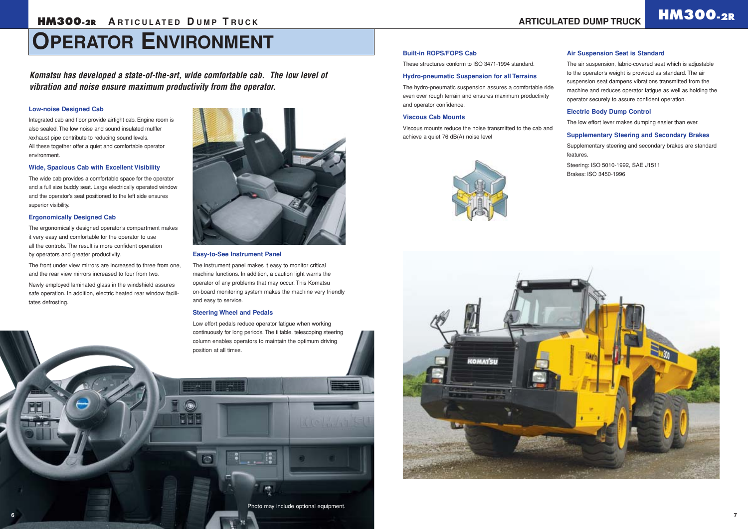## **OPERATOR ENVIRONMENT**



These structures conform to ISO 3471-1994 standard.

#### **Hydro-pneumatic Suspension for all Terrains**

The hydro-pneumatic suspension assures a comfortable ride even over rough terrain and ensures maximum productivity and operator confidence.

#### **Viscous Cab Mounts**

Viscous mounts reduce the noise transmitted to the cab and achieve a quiet 76 dB(A) noise level





#### **Air Suspension Seat is Standard**

The air suspension, fabric-covered seat which is adjustable to the operator's weight is provided as standard. The air suspension seat dampens vibrations transmitted from the machine and reduces operator fatigue as well as holding the operator securely to assure confident operation.

#### **Electric Body Dump Control**

The low effort lever makes dumping easier than ever.

#### **Supplementary Steering and Secondary Brakes**

Supplementary steering and secondary brakes are standard features.

Steering: ISO 5010-1992, SAE J1511 Brakes: ISO 3450-1996

#### **Low-noise Designed Cab**

Integrated cab and floor provide airtight cab. Engine room is also sealed. The low noise and sound insulated muffler /exhaust pipe contribute to reducing sound levels. All these together offer a quiet and comfortable operator environment.

#### **Wide, Spacious Cab with Excellent Visibility**

The wide cab provides a comfortable space for the operator and a full size buddy seat. Large electrically operated window and the operator's seat positioned to the left side ensures superior visibility.

#### **Ergonomically Designed Cab**

The ergonomically designed operator's compartment makes it very easy and comfortable for the operator to use all the controls. The result is more confident operation by operators and greater productivity.

The front under view mirrors are increased to three from one, and the rear view mirrors increased to four from two.

Newly employed laminated glass in the windshield assures safe operation. In addition, electric heated rear window facilitates defrosting.



#### **Easy-to-See Instrument Panel**

The instrument panel makes it easy to monitor critical machine functions. In addition, a caution light warns the operator of any problems that may occur. This Komatsu on-board monitoring system makes the machine very friendly and easy to service.

#### **Steering Wheel and Pedals**

Low effort pedals reduce operator fatigue when working continuously for long periods. The tiltable, telescoping steering column enables operators to maintain the optimum driving position at all times.

*Komatsu has developed a state-of-the-art, wide comfortable cab. The low level of vibration and noise ensure maximum productivity from the operator.*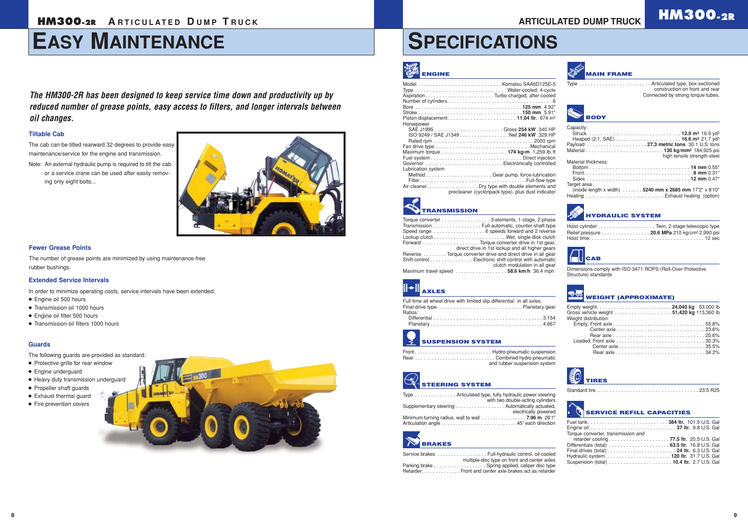## **EASY MAINTENANCE**

## **HM300-2R HM300-2R <sup>A</sup> <sup>R</sup> TICULATED <sup>D</sup> UMP <sup>T</sup> <sup>R</sup> UCK ARTICULATED DUMP TRUCK**

## **SPECIFICATIONS**

## **AXLES**

| Full time all wheel drive with limited slip differential in all axles. |  |
|------------------------------------------------------------------------|--|
| Ratios:                                                                |  |
|                                                                        |  |
|                                                                        |  |

| Torque converter 3-elements, 1-stage, 2-phase                |
|--------------------------------------------------------------|
| Transmission Full-automatic, counter-shaft type              |
|                                                              |
|                                                              |
|                                                              |
| direct drive in 1st lockup and all higher gears              |
| Reverse. Torque converter drive and direct drive in all gear |
| Shift control Electronic shift control with automatic        |
| clutch modulation in all gear                                |
| Maximum travel speed 58.6 km/h 36.4 mph                      |

### **SUSPENSION SYSTEM**

| and rubber suspension system |
|------------------------------|

| <b>ENGINE</b>                                                                                                                                                                                                                                             | <b>MAIN FRAME</b>                                                                                                   |
|-----------------------------------------------------------------------------------------------------------------------------------------------------------------------------------------------------------------------------------------------------------|---------------------------------------------------------------------------------------------------------------------|
| Type  Water-cooled, 4-cycle                                                                                                                                                                                                                               | Type  Articulated type, box-sectioned<br>construction on front and rear<br>Connected by strong torque tubes.        |
| Horsepower                                                                                                                                                                                                                                                | <b>BODY</b>                                                                                                         |
| ISO 9249 / SAE J1349 Net 246 kW 329 HP<br>Lubrication system                                                                                                                                                                                              | Capacity:<br>Struck  12.9 m <sup>3</sup> 16.9 yd <sup>3</sup><br>high tensile strength steel<br>Material thickness: |
| Air cleaner. Dry type with double elements and<br>precleaner (cyclonpack type), plus dust indicator                                                                                                                                                       | Target area<br>(inside length x width) 5240 mm x 2685 mm 17'2" x 8'10"                                              |
| <b>TRANSMISSION</b>                                                                                                                                                                                                                                       | <b>HYDRAULIC SYSTEM</b>                                                                                             |
| Torque converter 3-elements, 1-stage, 2-phase<br>Transmission Full-automatic, counter-shaft type<br>Speed range 6 speeds forward and 2 reverse                                                                                                            | Relief pressure 20.6 MPa 210 kg/cm <sup>2</sup> 2,990 psi                                                           |
| direct drive in 1st lockup and all higher gears<br>Reverse. Torque converter drive and direct drive in all gear<br>Shift control Electronic shift control with automatic<br>clutch modulation in all gear<br>$586$ km/h $364$ mph<br>Mayimum travel sneed | <b>TICAB</b><br>Dimensions comply with ISO 3471 ROPS (Roll-Over Protective                                          |

## **STEERING SYSTEM**

| Type  Articulated type, fully hydraulic power steering                                 |                      |
|----------------------------------------------------------------------------------------|----------------------|
| with two double-acting cylinders                                                       |                      |
| Supplementary steering Automatically actuated,                                         |                      |
|                                                                                        | electrically powered |
| Minimum turning radius, wall to wall $\ldots \ldots \ldots \ldots \ldots$ 7.96 m 26'1" |                      |
|                                                                                        |                      |

## **BRAKES**

| Service brakes Full-hydraulic control, oil-cooled      |
|--------------------------------------------------------|
| multiple-disc type on front and center axles           |
| Parking brake  Spring applied, caliper disc type       |
| Retarder. Front and center axle brakes act as retarder |

|  | <b>POLOGY WEIGHT (APPROXIMATE)</b> |
|--|------------------------------------|
|--|------------------------------------|

| Empty weight 24,040 kg 53,000 lb |  |
|----------------------------------|--|
|                                  |  |
| Weight distribution:             |  |
|                                  |  |
|                                  |  |
|                                  |  |
|                                  |  |
|                                  |  |
|                                  |  |
|                                  |  |

Structure) standards



 $\mathbb{E}^{\text{MSE}}_{\text{Higgs}}$ 

 $\overline{4}$ 

Standard tire. . . . . . . . . . . . . . . . . . . . . . . . . . . . . . . . . . . . 23.5 R25

|  | <b>THE SERVICE REFILL CAPACITIES</b> | Fuel tank384 Itr. 101.5 U.S. Gal |
|--|--------------------------------------|----------------------------------|

#### **Tiltable Cab**

The cab can be tilted rearward 32 degrees to provide easy maintenance/service for the engine and transmission.

Note: An external hydraulic pump is required to tilt the cab or a service crane can be used after easily removing only eight bolts...



*The HM300-2R has been designed to keep service time down and productivity up by reduced number of grease points, easy access to filters, and longer intervals between oil changes.*

#### **Fewer Grease Points**

The number of grease points are minimized by using maintenance-free rubber bushings.

#### **Guards**

The following guards are provided as standard:

- Protective grille for rear window
- Engine underguard
- Heavy duty transmission underguard
- Propeller shaft guards
- Exhaust thermal guard
- Fire prevention covers



#### **Extended Service Intervals**

In order to minimize operating costs, service intervals have been extended:

- Engine oil 500 hours
- Transmission oil 1000 hours
- Engine oil filter 500 hours
- Transmission oil filters 1000 hours